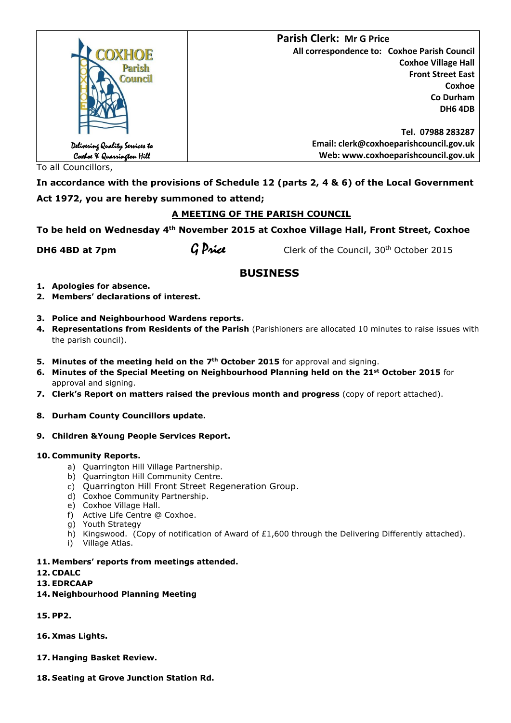|                                                             | <b>Parish Clerk: Mr G Price</b>              |
|-------------------------------------------------------------|----------------------------------------------|
| COXHOE                                                      | All correspondence to: Coxhoe Parish Council |
| Parish<br>Council                                           | <b>Coxhoe Village Hall</b>                   |
|                                                             | <b>Front Street East</b>                     |
|                                                             | Coxhoe                                       |
|                                                             | Co Durham                                    |
|                                                             | <b>DH6 4DB</b>                               |
|                                                             |                                              |
|                                                             | Tel. 07988 283287                            |
|                                                             | Email: clerk@coxhoeparishcouncil.gov.uk      |
| Delivering Quality Services to<br>Coxboe & Quarrington Hill | Web: www.coxhoeparishcouncil.gov.uk          |

To all Councillors,

**In accordance with the provisions of Schedule 12 (parts 2, 4 & 6) of the Local Government Act 1972, you are hereby summoned to attend;**

## **A MEETING OF THE PARISH COUNCIL**

**To be held on Wednesday 4th November 2015 at Coxhoe Village Hall, Front Street, Coxhoe** 

**DH6 4BD at 7pm**  $\theta$  **G Price** Clerk of the Council, 30<sup>th</sup> October 2015

# **BUSINESS**

- **1. Apologies for absence.**
- **2. Members' declarations of interest.**
- **3. Police and Neighbourhood Wardens reports.**
- **4. Representations from Residents of the Parish** (Parishioners are allocated 10 minutes to raise issues with the parish council).
- **5. Minutes of the meeting held on the 7th October 2015** for approval and signing.
- **6. Minutes of the Special Meeting on Neighbourhood Planning held on the 21st October 2015** for approval and signing.
- **7. Clerk's Report on matters raised the previous month and progress** (copy of report attached).
- **8. Durham County Councillors update.**
- **9. Children &Young People Services Report.**

## **10. Community Reports.**

- a) Quarrington Hill Village Partnership.
- b) Quarrington Hill Community Centre.
- c) Quarrington Hill Front Street Regeneration Group.
- d) Coxhoe Community Partnership.
- e) Coxhoe Village Hall.
- f) Active Life Centre @ Coxhoe.
- g) Youth Strategy
- h) Kingswood. (Copy of notification of Award of £1,600 through the Delivering Differently attached).
- i) Village Atlas.
- **11. Members' reports from meetings attended.**

**12. CDALC**

- **13. EDRCAAP**
- **14. Neighbourhood Planning Meeting**
- **15. PP2.**
- **16. Xmas Lights.**
- **17. Hanging Basket Review.**
- **18. Seating at Grove Junction Station Rd.**